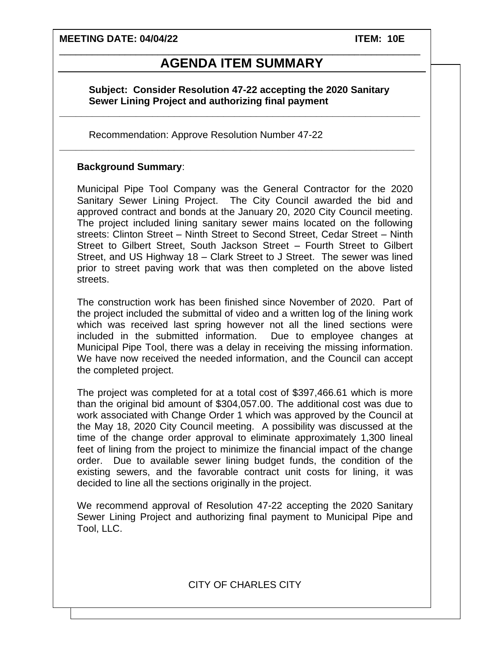**MEETING DATE: 04/04/22 ITEM: 10E**

# \_\_\_\_\_\_\_\_\_\_\_\_\_\_\_\_\_\_\_\_\_\_\_\_\_\_\_\_\_\_\_\_\_\_\_\_\_\_\_\_\_\_\_\_\_\_\_\_\_\_\_\_\_\_\_\_\_\_\_\_\_\_\_\_\_\_ **AGENDA ITEM SUMMARY**

### **Subject: Consider Resolution 47-22 accepting the 2020 Sanitary Sewer Lining Project and authorizing final payment**

**\_\_\_\_\_\_\_\_\_\_\_\_\_\_\_\_\_\_\_\_\_\_\_\_\_\_\_\_\_\_\_\_\_\_\_\_\_\_\_\_\_\_\_\_\_\_\_\_\_\_\_\_\_\_\_\_\_\_\_\_\_\_\_\_\_\_**

**\_\_\_\_\_\_\_\_\_\_\_\_\_\_\_\_\_\_\_\_\_\_\_\_\_\_\_\_\_\_\_\_\_\_\_\_\_\_\_\_\_\_\_\_\_\_\_\_\_\_\_\_\_\_\_\_\_\_\_\_\_\_\_\_\_**

Recommendation: Approve Resolution Number 47-22

#### **Background Summary**:

Municipal Pipe Tool Company was the General Contractor for the 2020 Sanitary Sewer Lining Project. The City Council awarded the bid and approved contract and bonds at the January 20, 2020 City Council meeting. The project included lining sanitary sewer mains located on the following streets: Clinton Street – Ninth Street to Second Street, Cedar Street – Ninth Street to Gilbert Street, South Jackson Street – Fourth Street to Gilbert Street, and US Highway 18 – Clark Street to J Street. The sewer was lined prior to street paving work that was then completed on the above listed streets.

The construction work has been finished since November of 2020. Part of the project included the submittal of video and a written log of the lining work which was received last spring however not all the lined sections were included in the submitted information. Due to employee changes at Municipal Pipe Tool, there was a delay in receiving the missing information. We have now received the needed information, and the Council can accept the completed project.

The project was completed for at a total cost of \$397,466.61 which is more than the original bid amount of \$304,057.00. The additional cost was due to work associated with Change Order 1 which was approved by the Council at the May 18, 2020 City Council meeting. A possibility was discussed at the time of the change order approval to eliminate approximately 1,300 lineal feet of lining from the project to minimize the financial impact of the change order. Due to available sewer lining budget funds, the condition of the existing sewers, and the favorable contract unit costs for lining, it was decided to line all the sections originally in the project.

We recommend approval of Resolution 47-22 accepting the 2020 Sanitary Sewer Lining Project and authorizing final payment to Municipal Pipe and Tool, LLC.

CITY OF CHARLES CITY